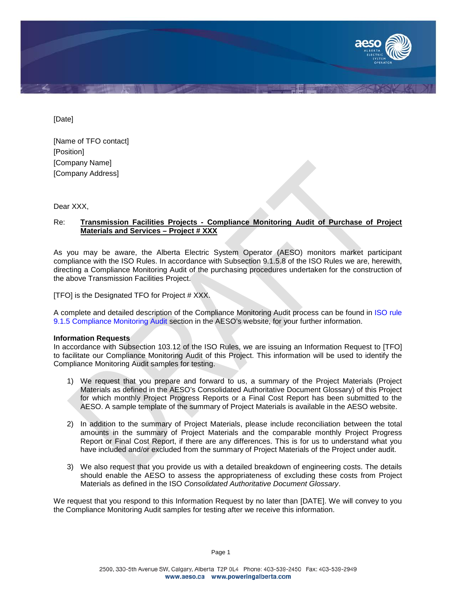

[Date]

[Name of TFO contact] [Position] [Company Name] [Company Address]

Dear XXX.

## Re: **Transmission Facilities Projects - Compliance Monitoring Audit of Purchase of Project Materials and Services – Project # XXX**

As you may be aware, the Alberta Electric System Operator (AESO) monitors market participant compliance with the ISO Rules. In accordance with Subsection 9.1.5.8 of the ISO Rules we are, herewith, directing a Compliance Monitoring Audit of the purchasing procedures undertaken for the construction of the above Transmission Facilities Project.

[TFO] is the Designated TFO for Project # XXX.

A complete and detailed description of the Compliance Monitoring Audit process can be found in [ISO rule](http://www.aeso.ca/loadsettlement/25747.html)  [9.1.5 Compliance Monitoring Audit](http://www.aeso.ca/loadsettlement/25747.html) section in the AESO's website, for your further information.

## **Information Requests**

In accordance with Subsection 103.12 of the ISO Rules, we are issuing an Information Request to [TFO] to facilitate our Compliance Monitoring Audit of this Project. This information will be used to identify the Compliance Monitoring Audit samples for testing.

- 1) We request that you prepare and forward to us, a summary of the Project Materials (Project Materials as defined in the AESO's Consolidated Authoritative Document Glossary) of this Project for which monthly Project Progress Reports or a Final Cost Report has been submitted to the AESO. A sample template of the summary of Project Materials is available in the AESO website.
- 2) In addition to the summary of Project Materials, please include reconciliation between the total amounts in the summary of Project Materials and the comparable monthly Project Progress Report or Final Cost Report, if there are any differences. This is for us to understand what you have included and/or excluded from the summary of Project Materials of the Project under audit.
- 3) We also request that you provide us with a detailed breakdown of engineering costs. The details should enable the AESO to assess the appropriateness of excluding these costs from Project Materials as defined in the ISO *Consolidated Authoritative Document Glossary*.

We request that you respond to this Information Request by no later than [DATE]. We will convey to you the Compliance Monitoring Audit samples for testing after we receive this information.